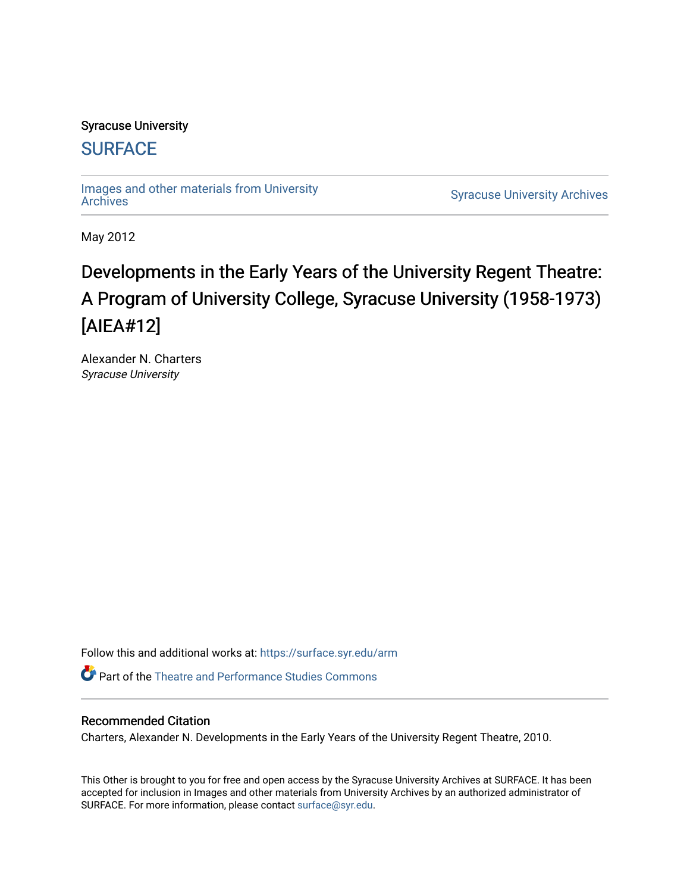#### Syracuse University

## **[SURFACE](https://surface.syr.edu/)**

[Images and other materials from University](https://surface.syr.edu/arm) 

**Syracuse University [Archives](https://surface.syr.edu/arm)** 

May 2012

# Developments in the Early Years of the University Regent Theatre: A Program of University College, Syracuse University (1958-1973) [AIEA#12]

Alexander N. Charters Syracuse University

Follow this and additional works at: [https://surface.syr.edu/arm](https://surface.syr.edu/arm?utm_source=surface.syr.edu%2Farm%2F14&utm_medium=PDF&utm_campaign=PDFCoverPages) 

**P** Part of the Theatre and Performance Studies Commons

#### Recommended Citation

Charters, Alexander N. Developments in the Early Years of the University Regent Theatre, 2010.

This Other is brought to you for free and open access by the Syracuse University Archives at SURFACE. It has been accepted for inclusion in Images and other materials from University Archives by an authorized administrator of SURFACE. For more information, please contact [surface@syr.edu.](mailto:surface@syr.edu)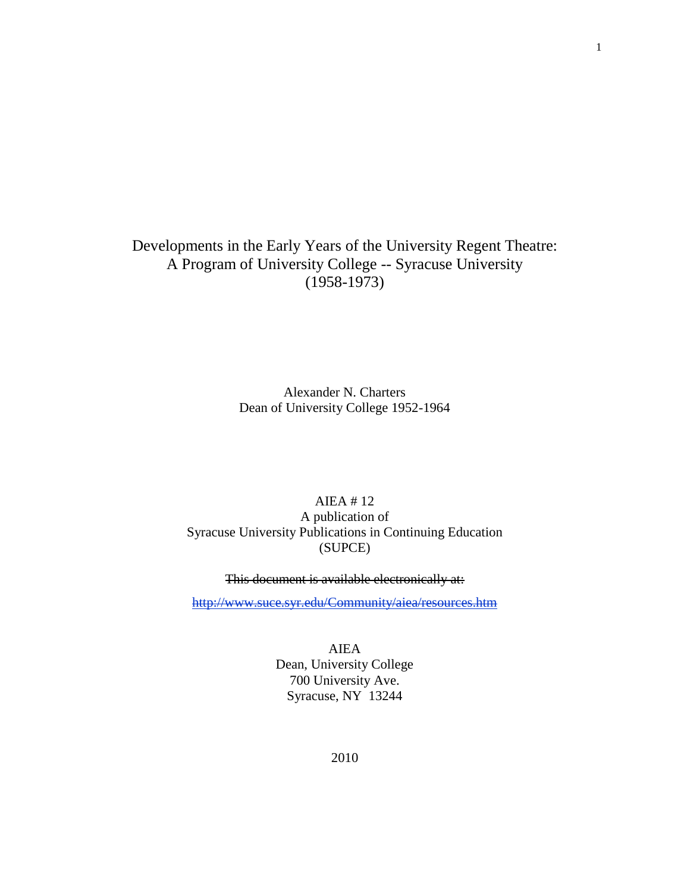### Developments in the Early Years of the University Regent Theatre: A Program of University College -- Syracuse University (1958-1973)

Alexander N. Charters Dean of University College 1952-1964

#### AIEA # 12 A publication of Syracuse University Publications in Continuing Education (SUPCE)

This document is available electronically at:

<http://www.suce.syr.edu/Community/aiea/resources.htm>

AIEA Dean, University College 700 University Ave. Syracuse, NY 13244

1

2010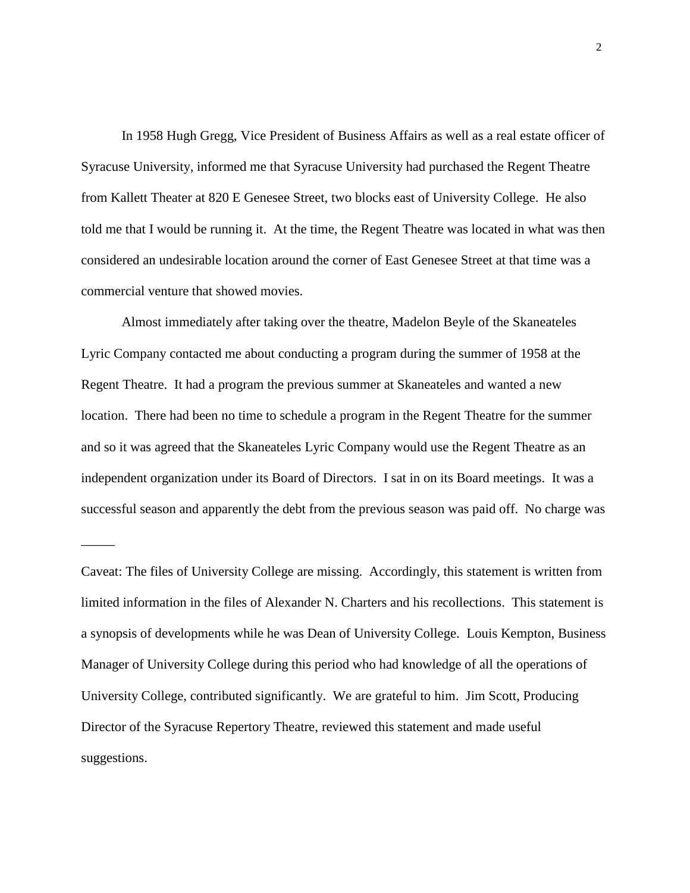In 1958 Hugh Gregg, Vice President of Business Affairs as well as a real estate officer of Syracuse University, informed me that Syracuse University had purchased the Regent Theatre from Kallett Theater at 820 E Genesee Street, two blocks east of University College. He also told me that I would be running it. At the time, the Regent Theatre was located in what was then considered an undesirable location around the corner of East Genesee Street at that time was a commercial venture that showed movies.

Almost immediately after taking over the theatre, Madelon Beyle of the Skaneateles Lyric Company contacted me about conducting a program during the summer of 1958 at the Regent Theatre. It had a program the previous summer at Skaneateles and wanted a new location. There had been no time to schedule a program in the Regent Theatre for the summer and so it was agreed that the Skaneateles Lyric Company would use the Regent Theatre as an independent organization under its Board of Directors. I sat in on its Board meetings. It was a successful season and apparently the debt from the previous season was paid off. No charge was

\_\_\_\_\_

Caveat: The files of University College are missing. Accordingly, this statement is written from limited information in the files of Alexander N. Charters and his recollections. This statement is a synopsis of developments while he was Dean of University College. Louis Kempton, Business Manager of University College during this period who had knowledge of all the operations of University College, contributed significantly. We are grateful to him. Jim Scott, Producing Director of the Syracuse Repertory Theatre, reviewed this statement and made useful suggestions.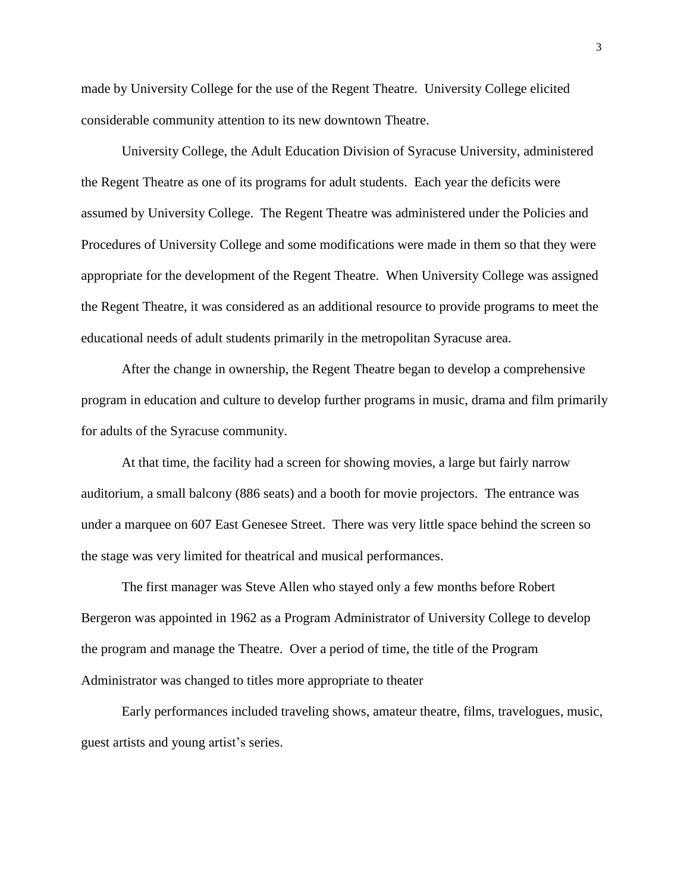made by University College for the use of the Regent Theatre. University College elicited considerable community attention to its new downtown Theatre.

University College, the Adult Education Division of Syracuse University, administered the Regent Theatre as one of its programs for adult students. Each year the deficits were assumed by University College. The Regent Theatre was administered under the Policies and Procedures of University College and some modifications were made in them so that they were appropriate for the development of the Regent Theatre. When University College was assigned the Regent Theatre, it was considered as an additional resource to provide programs to meet the educational needs of adult students primarily in the metropolitan Syracuse area.

After the change in ownership, the Regent Theatre began to develop a comprehensive program in education and culture to develop further programs in music, drama and film primarily for adults of the Syracuse community.

At that time, the facility had a screen for showing movies, a large but fairly narrow auditorium, a small balcony (886 seats) and a booth for movie projectors. The entrance was under a marquee on 607 East Genesee Street. There was very little space behind the screen so the stage was very limited for theatrical and musical performances.

The first manager was Steve Allen who stayed only a few months before Robert Bergeron was appointed in 1962 as a Program Administrator of University College to develop the program and manage the Theatre. Over a period of time, the title of the Program Administrator was changed to titles more appropriate to theater

Early performances included traveling shows, amateur theatre, films, travelogues, music, guest artists and young artist's series.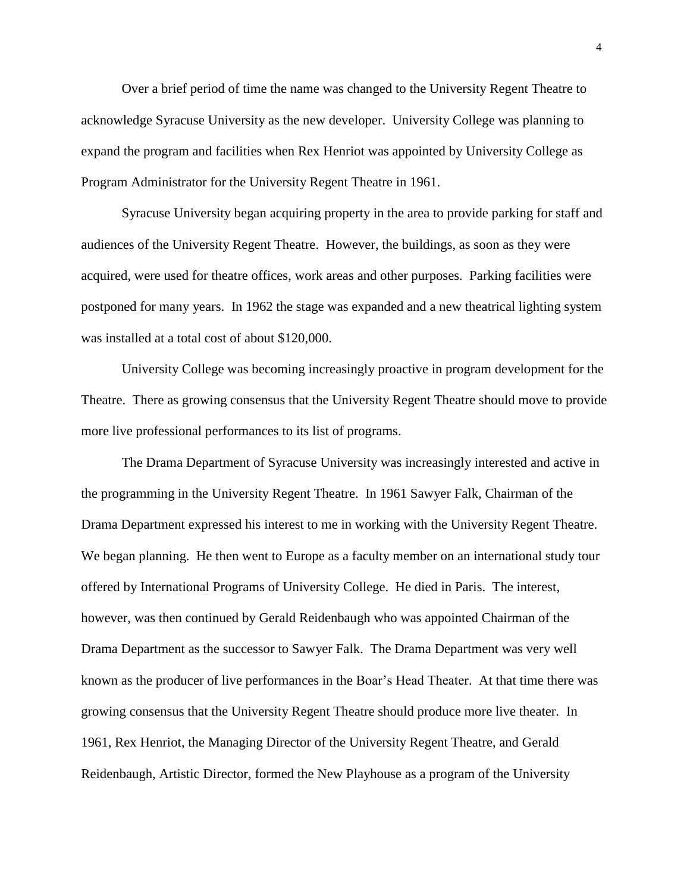Over a brief period of time the name was changed to the University Regent Theatre to acknowledge Syracuse University as the new developer. University College was planning to expand the program and facilities when Rex Henriot was appointed by University College as Program Administrator for the University Regent Theatre in 1961.

Syracuse University began acquiring property in the area to provide parking for staff and audiences of the University Regent Theatre. However, the buildings, as soon as they were acquired, were used for theatre offices, work areas and other purposes. Parking facilities were postponed for many years. In 1962 the stage was expanded and a new theatrical lighting system was installed at a total cost of about \$120,000.

University College was becoming increasingly proactive in program development for the Theatre. There as growing consensus that the University Regent Theatre should move to provide more live professional performances to its list of programs.

The Drama Department of Syracuse University was increasingly interested and active in the programming in the University Regent Theatre. In 1961 Sawyer Falk, Chairman of the Drama Department expressed his interest to me in working with the University Regent Theatre. We began planning. He then went to Europe as a faculty member on an international study tour offered by International Programs of University College. He died in Paris. The interest, however, was then continued by Gerald Reidenbaugh who was appointed Chairman of the Drama Department as the successor to Sawyer Falk. The Drama Department was very well known as the producer of live performances in the Boar's Head Theater. At that time there was growing consensus that the University Regent Theatre should produce more live theater. In 1961, Rex Henriot, the Managing Director of the University Regent Theatre, and Gerald Reidenbaugh, Artistic Director, formed the New Playhouse as a program of the University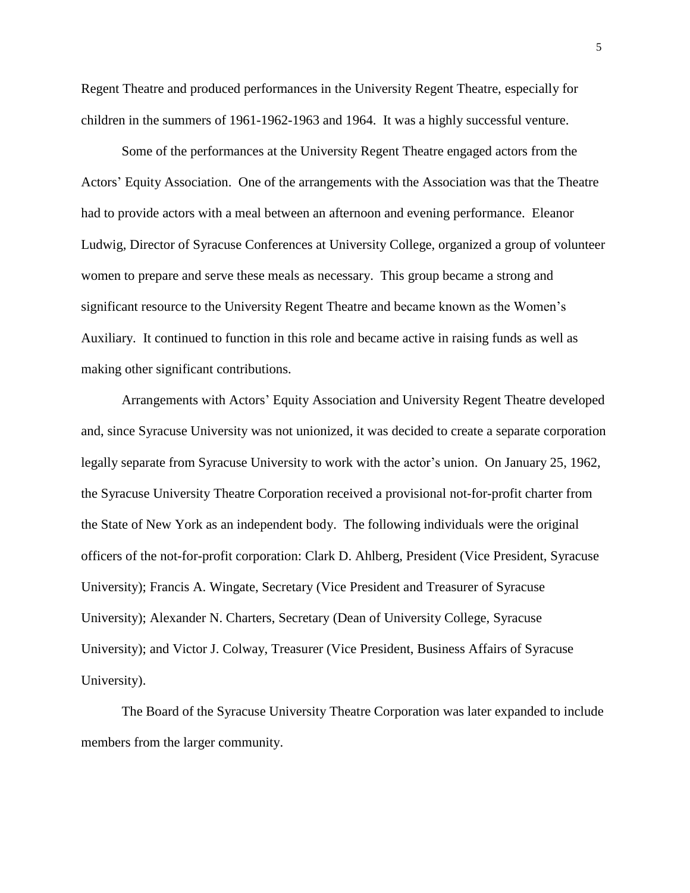Regent Theatre and produced performances in the University Regent Theatre, especially for children in the summers of 1961-1962-1963 and 1964. It was a highly successful venture.

Some of the performances at the University Regent Theatre engaged actors from the Actors' Equity Association. One of the arrangements with the Association was that the Theatre had to provide actors with a meal between an afternoon and evening performance. Eleanor Ludwig, Director of Syracuse Conferences at University College, organized a group of volunteer women to prepare and serve these meals as necessary. This group became a strong and significant resource to the University Regent Theatre and became known as the Women's Auxiliary. It continued to function in this role and became active in raising funds as well as making other significant contributions.

Arrangements with Actors' Equity Association and University Regent Theatre developed and, since Syracuse University was not unionized, it was decided to create a separate corporation legally separate from Syracuse University to work with the actor's union. On January 25, 1962, the Syracuse University Theatre Corporation received a provisional not-for-profit charter from the State of New York as an independent body. The following individuals were the original officers of the not-for-profit corporation: Clark D. Ahlberg, President (Vice President, Syracuse University); Francis A. Wingate, Secretary (Vice President and Treasurer of Syracuse University); Alexander N. Charters, Secretary (Dean of University College, Syracuse University); and Victor J. Colway, Treasurer (Vice President, Business Affairs of Syracuse University).

The Board of the Syracuse University Theatre Corporation was later expanded to include members from the larger community.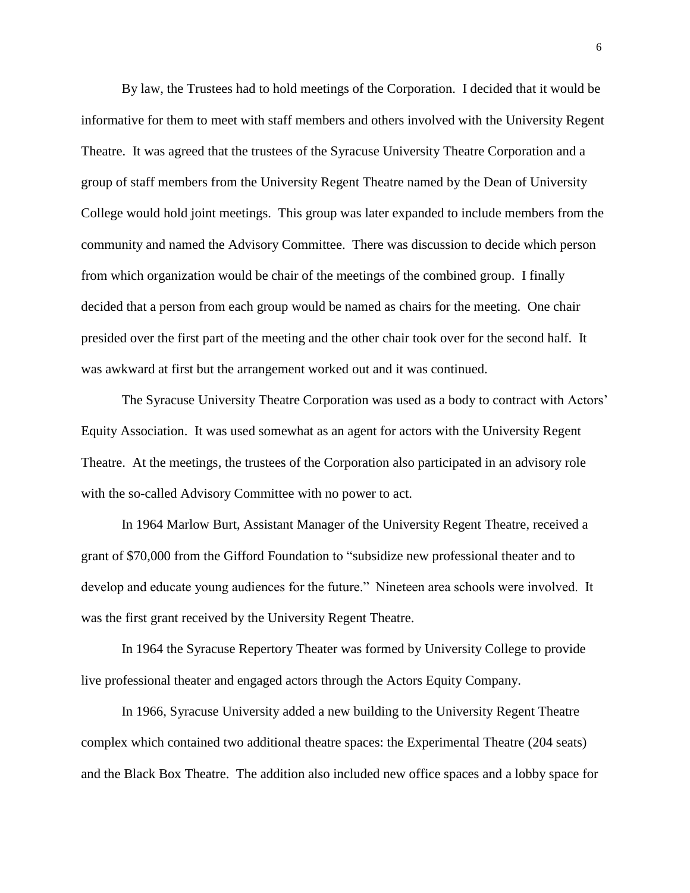By law, the Trustees had to hold meetings of the Corporation. I decided that it would be informative for them to meet with staff members and others involved with the University Regent Theatre. It was agreed that the trustees of the Syracuse University Theatre Corporation and a group of staff members from the University Regent Theatre named by the Dean of University College would hold joint meetings. This group was later expanded to include members from the community and named the Advisory Committee. There was discussion to decide which person from which organization would be chair of the meetings of the combined group. I finally decided that a person from each group would be named as chairs for the meeting. One chair presided over the first part of the meeting and the other chair took over for the second half. It was awkward at first but the arrangement worked out and it was continued.

The Syracuse University Theatre Corporation was used as a body to contract with Actors' Equity Association. It was used somewhat as an agent for actors with the University Regent Theatre. At the meetings, the trustees of the Corporation also participated in an advisory role with the so-called Advisory Committee with no power to act.

In 1964 Marlow Burt, Assistant Manager of the University Regent Theatre, received a grant of \$70,000 from the Gifford Foundation to "subsidize new professional theater and to develop and educate young audiences for the future." Nineteen area schools were involved. It was the first grant received by the University Regent Theatre.

In 1964 the Syracuse Repertory Theater was formed by University College to provide live professional theater and engaged actors through the Actors Equity Company.

In 1966, Syracuse University added a new building to the University Regent Theatre complex which contained two additional theatre spaces: the Experimental Theatre (204 seats) and the Black Box Theatre. The addition also included new office spaces and a lobby space for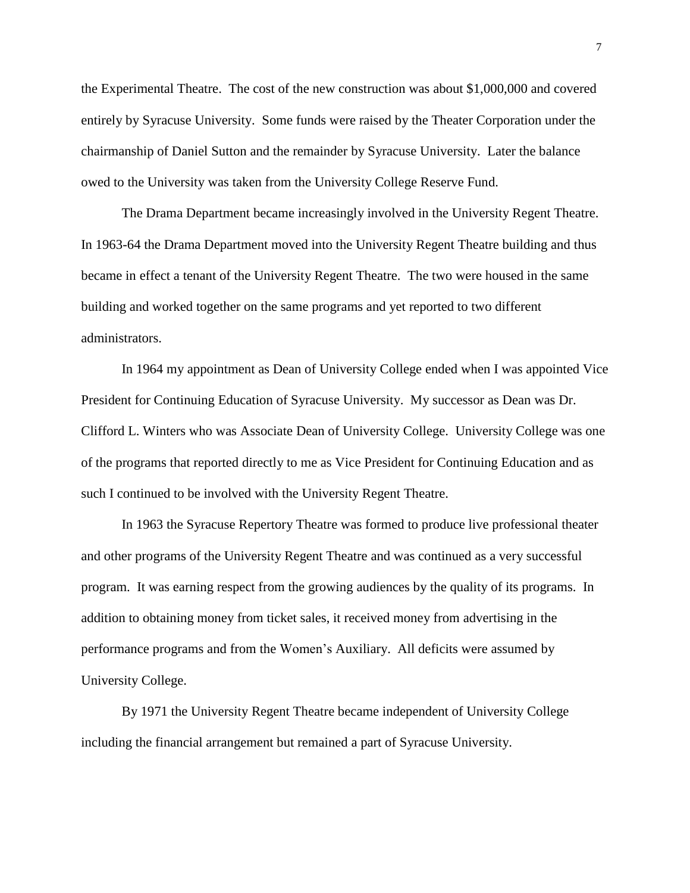the Experimental Theatre. The cost of the new construction was about \$1,000,000 and covered entirely by Syracuse University. Some funds were raised by the Theater Corporation under the chairmanship of Daniel Sutton and the remainder by Syracuse University. Later the balance owed to the University was taken from the University College Reserve Fund.

The Drama Department became increasingly involved in the University Regent Theatre. In 1963-64 the Drama Department moved into the University Regent Theatre building and thus became in effect a tenant of the University Regent Theatre. The two were housed in the same building and worked together on the same programs and yet reported to two different administrators.

In 1964 my appointment as Dean of University College ended when I was appointed Vice President for Continuing Education of Syracuse University. My successor as Dean was Dr. Clifford L. Winters who was Associate Dean of University College. University College was one of the programs that reported directly to me as Vice President for Continuing Education and as such I continued to be involved with the University Regent Theatre.

In 1963 the Syracuse Repertory Theatre was formed to produce live professional theater and other programs of the University Regent Theatre and was continued as a very successful program. It was earning respect from the growing audiences by the quality of its programs. In addition to obtaining money from ticket sales, it received money from advertising in the performance programs and from the Women's Auxiliary. All deficits were assumed by University College.

By 1971 the University Regent Theatre became independent of University College including the financial arrangement but remained a part of Syracuse University.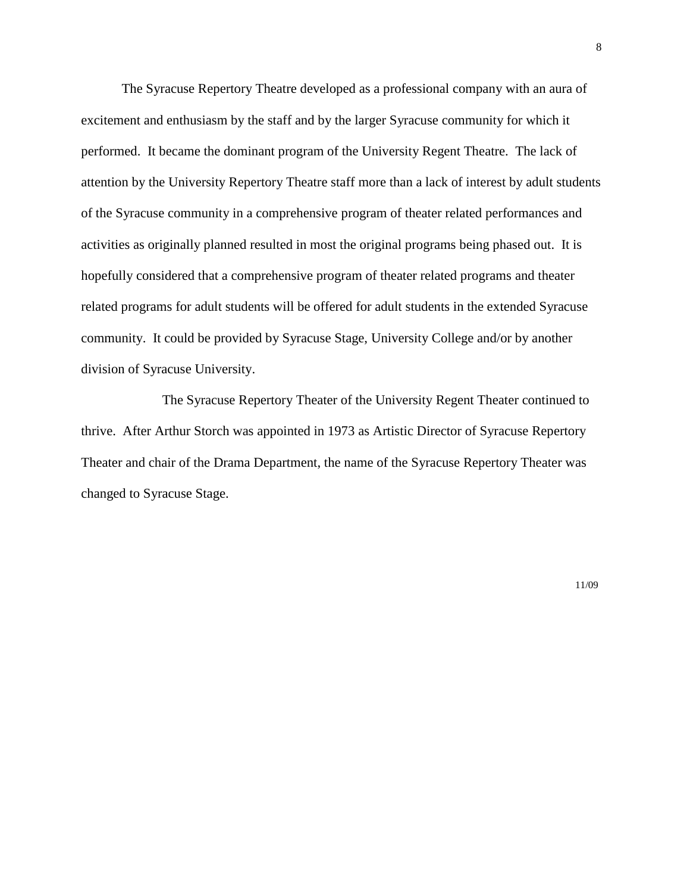The Syracuse Repertory Theatre developed as a professional company with an aura of excitement and enthusiasm by the staff and by the larger Syracuse community for which it performed. It became the dominant program of the University Regent Theatre. The lack of attention by the University Repertory Theatre staff more than a lack of interest by adult students of the Syracuse community in a comprehensive program of theater related performances and activities as originally planned resulted in most the original programs being phased out. It is hopefully considered that a comprehensive program of theater related programs and theater related programs for adult students will be offered for adult students in the extended Syracuse community. It could be provided by Syracuse Stage, University College and/or by another division of Syracuse University.

The Syracuse Repertory Theater of the University Regent Theater continued to thrive. After Arthur Storch was appointed in 1973 as Artistic Director of Syracuse Repertory Theater and chair of the Drama Department, the name of the Syracuse Repertory Theater was changed to Syracuse Stage.

11/09